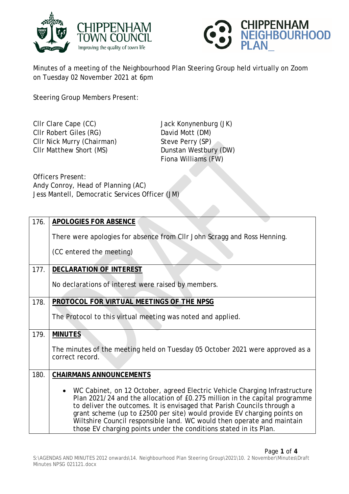



Minutes of a meeting of the Neighbourhood Plan Steering Group held virtually on Zoom on Tuesday 02 November 2021 at 6pm

Steering Group Members Present:

Clir Clare Cape (CC) Jack Konynenburg (JK) Cllr Robert Giles (RG) David Mott (DM)<br>
Cllr Nick Murry (Chairman) Steve Perry (SP) Cllr Nick Murry (Chairman) Cllr Matthew Short (MS) Dunstan Westbury (DW)

Fiona Williams (FW)

Officers Present: Andy Conroy, Head of Planning (AC) Jess Mantell, Democratic Services Officer (JM)

| 176. | <b>APOLOGIES FOR ABSENCE</b>                                                                                                                                                                                                                                                                                                                                                                                                                                    |
|------|-----------------------------------------------------------------------------------------------------------------------------------------------------------------------------------------------------------------------------------------------------------------------------------------------------------------------------------------------------------------------------------------------------------------------------------------------------------------|
|      | There were apologies for absence from CIIr John Scragg and Ross Henning.                                                                                                                                                                                                                                                                                                                                                                                        |
|      | (CC entered the meeting)                                                                                                                                                                                                                                                                                                                                                                                                                                        |
| 177. | <b>DECLARATION OF INTEREST</b>                                                                                                                                                                                                                                                                                                                                                                                                                                  |
|      | No declarations of interest were raised by members.                                                                                                                                                                                                                                                                                                                                                                                                             |
| 178. | PROTOCOL FOR VIRTUAL MEETINGS OF THE NPSG                                                                                                                                                                                                                                                                                                                                                                                                                       |
|      | The Protocol to this virtual meeting was noted and applied.                                                                                                                                                                                                                                                                                                                                                                                                     |
| 179. | <b>MINUTES</b>                                                                                                                                                                                                                                                                                                                                                                                                                                                  |
|      | The minutes of the meeting held on Tuesday 05 October 2021 were approved as a<br>correct record.                                                                                                                                                                                                                                                                                                                                                                |
| 180. | <b>CHAIRMANS ANNOUNCEMENTS</b>                                                                                                                                                                                                                                                                                                                                                                                                                                  |
|      | • WC Cabinet, on 12 October, agreed Electric Vehicle Charging Infrastructure<br>Plan 2021/24 and the allocation of £0.275 million in the capital programme<br>to deliver the outcomes. It is envisaged that Parish Councils through a<br>grant scheme (up to £2500 per site) would provide EV charging points on<br>Wiltshire Council responsible land. WC would then operate and maintain<br>those EV charging points under the conditions stated in its Plan. |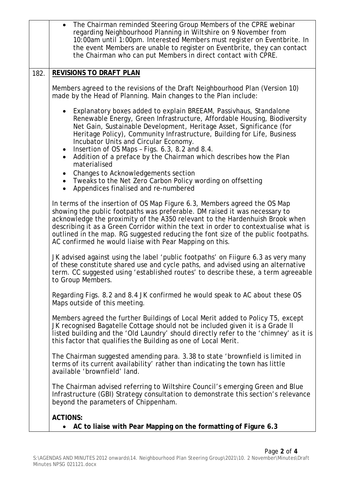|      | • The Chairman reminded Steering Group Members of the CPRE webinar<br>regarding Neighbourhood Planning in Wiltshire on 9 November from<br>10:00am until 1:00pm. Interested Members must register on Eventbrite. In<br>the event Members are unable to register on Eventbrite, they can contact<br>the Chairman who can put Members in direct contact with CPRE.                                                                                                                                                          |
|------|--------------------------------------------------------------------------------------------------------------------------------------------------------------------------------------------------------------------------------------------------------------------------------------------------------------------------------------------------------------------------------------------------------------------------------------------------------------------------------------------------------------------------|
| 182. | <b>REVISIONS TO DRAFT PLAN</b>                                                                                                                                                                                                                                                                                                                                                                                                                                                                                           |
|      | Members agreed to the revisions of the Draft Neighbourhood Plan (Version 10)<br>made by the Head of Planning. Main changes to the Plan include:                                                                                                                                                                                                                                                                                                                                                                          |
|      | Explanatory boxes added to explain BREEAM, Passivhaus, Standalone<br>$\bullet$<br>Renewable Energy, Green Infrastructure, Affordable Housing, Biodiversity<br>Net Gain, Sustainable Development, Heritage Asset, Significance (for<br>Heritage Policy), Community Infrastructure, Building for Life, Business<br>Incubator Units and Circular Economy.<br>Insertion of OS Maps - Figs. 6.3, 8.2 and 8.4.<br>$\bullet$<br>Addition of a preface by the Chairman which describes how the Plan<br>$\bullet$<br>materialised |
|      | Changes to Acknowledgements section<br>$\bullet$<br>• Tweaks to the Net Zero Carbon Policy wording on offsetting<br>Appendices finalised and re-numbered                                                                                                                                                                                                                                                                                                                                                                 |
|      | In terms of the insertion of OS Map Figure 6.3, Members agreed the OS Map<br>showing the public footpaths was preferable. DM raised it was necessary to<br>acknowledge the proximity of the A350 relevant to the Hardenhuish Brook when<br>describing it as a Green Corridor within the text in order to contextualise what is<br>outlined in the map. RG suggested reducing the font size of the public footpaths.<br>AC confirmed he would liaise with Pear Mapping on this.                                           |
|      | JK advised against using the label 'public footpaths' on Fiigure 6.3 as very many<br>of these constitute shared use and cycle paths, and advised using an alternative<br>term. CC suggested using 'established routes' to describe these, a term agreeable<br>to Group Members.                                                                                                                                                                                                                                          |
|      | Regarding Figs. 8.2 and 8.4 JK confirmed he would speak to AC about these OS<br>Maps outside of this meeting.                                                                                                                                                                                                                                                                                                                                                                                                            |
|      | Members agreed the further Buildings of Local Merit added to Policy T5, except<br>JK recognised Bagatelle Cottage should not be included given it is a Grade II<br>listed building and the 'Old Laundry' should directly refer to the 'chimney' as it is<br>this factor that qualifies the Building as one of Local Merit.                                                                                                                                                                                               |
|      | The Chairman suggested amending para. 3.38 to state 'brownfield is limited in<br>terms of its current availability' rather than indicating the town has little<br>available 'brownfield' land.                                                                                                                                                                                                                                                                                                                           |
|      | The Chairman advised referring to Wiltshire Council's emerging Green and Blue<br>Infrastructure (GBI) Strategy consultation to demonstrate this section's relevance<br>beyond the parameters of Chippenham.                                                                                                                                                                                                                                                                                                              |
|      | <b>ACTIONS:</b><br>AC to liaise with Pear Mapping on the formatting of Figure 6.3<br>$\bullet$                                                                                                                                                                                                                                                                                                                                                                                                                           |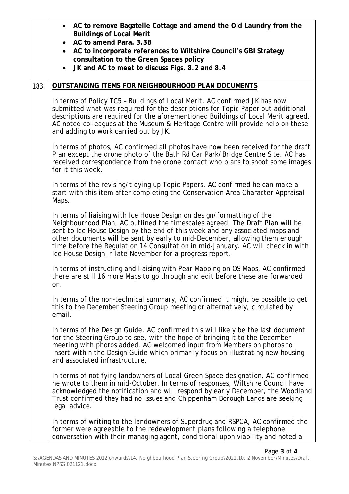|      | • AC to remove Bagatelle Cottage and amend the Old Laundry from the<br><b>Buildings of Local Merit</b><br>AC to amend Para, 3.38<br>AC to incorporate references to Wiltshire Council's GBI Strategy<br>$\bullet$<br>consultation to the Green Spaces policy<br>JK and AC to meet to discuss Figs. 8.2 and 8.4                                                                                                                                                         |
|------|------------------------------------------------------------------------------------------------------------------------------------------------------------------------------------------------------------------------------------------------------------------------------------------------------------------------------------------------------------------------------------------------------------------------------------------------------------------------|
| 183. | OUTSTANDING ITEMS FOR NEIGHBOURHOOD PLAN DOCUMENTS                                                                                                                                                                                                                                                                                                                                                                                                                     |
|      | In terms of Policy TC5 - Buildings of Local Merit, AC confirmed JK has now<br>submitted what was required for the descriptions for Topic Paper but additional<br>descriptions are required for the aforementioned Buildings of Local Merit agreed.<br>AC noted colleagues at the Museum & Heritage Centre will provide help on these<br>and adding to work carried out by JK.                                                                                          |
|      | In terms of photos, AC confirmed all photos have now been received for the draft<br>Plan except the drone photo of the Bath Rd Car Park/Bridge Centre Site. AC has<br>received correspondence from the drone contact who plans to shoot some images<br>for it this week.                                                                                                                                                                                               |
|      | In terms of the revising/tidying up Topic Papers, AC confirmed he can make a<br>start with this item after completing the Conservation Area Character Appraisal<br>Maps.                                                                                                                                                                                                                                                                                               |
|      | In terms of liaising with Ice House Design on design/formatting of the<br>Neighbourhood Plan, AC outlined the timescales agreed. The Draft Plan will be<br>sent to Ice House Design by the end of this week and any associated maps and<br>other documents will be sent by early to mid-December, allowing them enough<br>time before the Regulation 14 Consultation in mid-January. AC will check in with<br>Ice House Design in late November for a progress report. |
|      | In terms of instructing and liaising with Pear Mapping on OS Maps, AC confirmed<br>there are still 16 more Maps to go through and edit before these are forwarded<br>on.                                                                                                                                                                                                                                                                                               |
|      | In terms of the non-technical summary, AC confirmed it might be possible to get<br>this to the December Steering Group meeting or alternatively, circulated by<br>email.                                                                                                                                                                                                                                                                                               |
|      | In terms of the Design Guide, AC confirmed this will likely be the last document<br>for the Steering Group to see, with the hope of bringing it to the December<br>meeting with photos added. AC welcomed input from Members on photos to<br>insert within the Design Guide which primarily focus on illustrating new housing<br>and associated infrastructure.                                                                                                        |
|      | In terms of notifying landowners of Local Green Space designation, AC confirmed<br>he wrote to them in mid-October. In terms of responses, Wiltshire Council have<br>acknowledged the notification and will respond by early December, the Woodland<br>Trust confirmed they had no issues and Chippenham Borough Lands are seeking<br>legal advice.                                                                                                                    |
|      | In terms of writing to the landowners of Superdrug and RSPCA, AC confirmed the<br>former were agreeable to the redevelopment plans following a telephone<br>conversation with their managing agent, conditional upon viability and noted a                                                                                                                                                                                                                             |